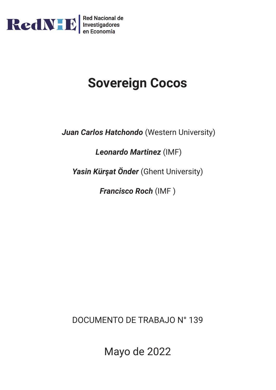

# **Sovereign Cocos**

*Juan Carlos Hatchondo* (Western University)

*Leonardo Martinez* (IMF)

*Yasin Kürşat Önder* (Ghent University)

*Francisco Roch* (IMF )

DOCUMENTO DE TRABAJO N° 139

Mayo de 2022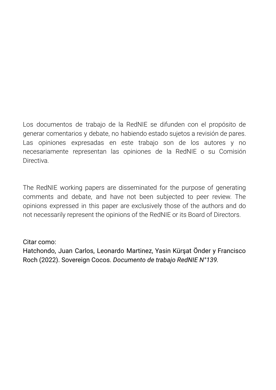Los documentos de trabajo de la RedNIE se difunden con el propósito de generar comentarios y debate, no habiendo estado sujetos a revisión de pares. Las opiniones expresadas en este trabajo son de los autores y no necesariamente representan las opiniones de la RedNIE o su Comisión **Directiva** 

The RedNIE working papers are disseminated for the purpose of generating comments and debate, and have not been subjected to peer review. The opinions expressed in this paper are exclusively those of the authors and do not necessarily represent the opinions of the RedNIE or its Board of Directors.

## Citar como:

Hatchondo, Juan Carlos, Leonardo Martinez, Yasin Kürşat Önder y Francisco Roch (2022). Sovereign Cocos. *Documento de trabajo RedNIE N°139.*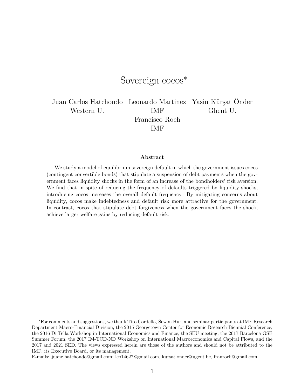# Sovereign cocos<sup>∗</sup>

Juan Carlos Hatchondo Leonardo Martinez Yasin Kürşat Önder Western U. **IMF** Ghent U. Francisco Roch IMF

**Abstract**

We study a model of equilibrium sovereign default in which the government issues cocos (contingent convertible bonds) that stipulate a suspension of debt payments when the government faces liquidity shocks in the form of an increase of the bondholders' risk aversion. We find that in spite of reducing the frequency of defaults triggered by liquidity shocks, introducing cocos increases the overall default frequency. By mitigating concerns about liquidity, cocos make indebtedness and default risk more attractive for the government. In contrast, cocos that stipulate debt forgiveness when the government faces the shock, achieve larger welfare gains by reducing default risk.

E-mails: juanc.hatchondo@gmail.com; leo14627@gmail.com, kursat.onder@ugent.be, franroch@gmail.com.

<sup>∗</sup>For comments and suggestions, we thank Tito Cordella, Sewon Hur, and seminar participants at IMF Research Department Macro-Financial Division, the 2015 Georgetown Center for Economic Research Biennial Conference, the 2016 Di Tella Workshop in International Economics and Finance, the SEU meeting, the 2017 Barcelona GSE Summer Forum, the 2017 IM-TCD-ND Workshop on International Macroeconomics and Capital Flows, and the 2017 and 2021 SED. The views expressed herein are those of the authors and should not be attributed to the IMF, its Executive Board, or its management.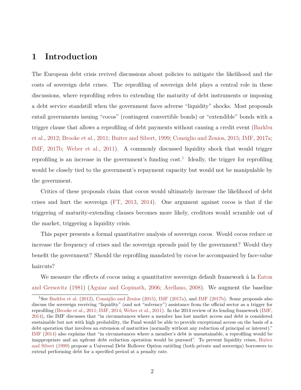# **1 Introduction**

The European debt crisis revived discussions about policies to mitigate the likelihood and the costs of sovereign debt crises. The reprofiling of sovereign debt plays a central role in these discussions, where reprofiling refers to extending the maturity of debt instruments or imposing a debt service standstill when the government faces adverse "liquidity" shocks. Most proposals entail governments issuing "cocos" (contingent convertible bonds) or "extendible" bonds with a trigger clause that allows a reprofiling of debt payments without causing a credit event ([Barkbu](#page-21-0) [et al.](#page-21-0), [2012;](#page-21-0) [Brooke et al.,](#page-21-1) [2011;](#page-21-1) [Buiter and Sibert](#page-21-2), [1999](#page-21-2); [Consiglio and Zenios](#page-22-0), [2015](#page-22-0); [IMF](#page-23-0), [2017a](#page-23-0); [IMF](#page-23-1), [2017b](#page-23-1); [Weber et al.](#page-24-0), [2011\)](#page-24-0). A commonly discussed liquidity shock that would trigger reprofiling is an increase in the government's funding  $\text{cost}$ .<sup>[1](#page-3-0)</sup> Ideally, the trigger for reprofiling would be closely tied to the government's repayment capacity but would not be manipulable by the government.

Critics of these proposals claim that cocos would ultimately increase the likelihood of debt crises and hurt the sovereign [\(FT](#page-22-1), [2013,](#page-22-1) [2014](#page-22-2)). One argument against cocos is that if the triggering of maturity-extending clauses becomes more likely, creditors would scramble out of the market, triggering a liquidity crisis.

This paper presents a formal quantitative analysis of sovereign cocos. Would cocos reduce or increase the frequency of crises and the sovereign spreads paid by the government? Would they benefit the government? Should the reprofiling mandated by cocos be accompanied by face-value haircuts?

We measure the effects of cocos using a quantitative sovereign default framework à la [Eaton](#page-22-3) [and Gersovitz](#page-22-3) ([1981](#page-22-3)) ([Aguiar and Gopinath](#page-20-0), [2006;](#page-20-0) [Arellano](#page-21-3), [2008](#page-21-3)). We augment the baseline

<span id="page-3-0"></span><sup>1</sup>See [Barkbu et al.](#page-21-0) ([2012](#page-21-0)), [Consiglio and Zenios](#page-22-0) [\(2015](#page-22-0)), [IMF](#page-23-0) ([2017a](#page-23-0)), and [IMF](#page-23-1) [\(2017b\)](#page-23-1). Some proposals also discuss the sovereign receiving "liquidity" (and not "solvency") assistance from the official sector as a trigger for reprofiling ([Brooke et al.,](#page-21-1) [2011;](#page-21-1) [IMF,](#page-23-2) [2014](#page-23-2); [Weber et al.](#page-24-0), [2011](#page-24-0)). In the 2014 review of its lending framework [\(IMF,](#page-23-2) [2014\)](#page-23-2), the IMF discusses that "in circumstances where a member has lost market access and debt is considered sustainable but not with high probability, the Fund would be able to provide exceptional access on the basis of a debt operation that involves an extension of maturities (normally without any reduction of principal or interest)." [IMF](#page-23-2) [\(2014](#page-23-2)) also explains that "in circumstances where a member's debt is unsustainable, a reprofiling would be inappropriate and an upfront debt reduction operation would be pursued". To prevent liquidity crises, [Buiter](#page-21-2) [and Sibert](#page-21-2) ([1999\)](#page-21-2) propose a Universal Debt Rollover Option entitling (both private and sovereign) borrowers to extend performing debt for a specified period at a penalty rate.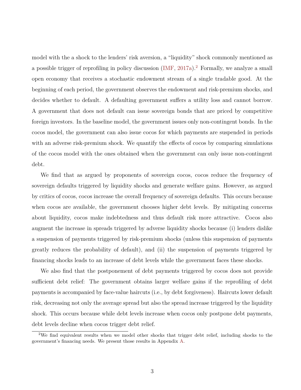model with the a shock to the lenders' risk aversion, a "liquidity" shock commonly mentioned as a possible trigger of reprofiling in policy discussion  $(MF, 2017a)^2$  $(MF, 2017a)^2$  $(MF, 2017a)^2$  $(MF, 2017a)^2$ . Formally, we analyze a small open economy that receives a stochastic endowment stream of a single tradable good. At the beginning of each period, the government observes the endowment and risk-premium shocks, and decides whether to default. A defaulting government suffers a utility loss and cannot borrow. A government that does not default can issue sovereign bonds that are priced by competitive foreign investors. In the baseline model, the government issues only non-contingent bonds. In the cocos model, the government can also issue cocos for which payments are suspended in periods with an adverse risk-premium shock. We quantify the effects of cocos by comparing simulations of the cocos model with the ones obtained when the government can only issue non-contingent debt.

We find that as argued by proponents of sovereign cocos, cocos reduce the frequency of sovereign defaults triggered by liquidity shocks and generate welfare gains. However, as argued by critics of cocos, cocos increase the overall frequency of sovereign defaults. This occurs because when cocos are available, the government chooses higher debt levels. By mitigating concerns about liquidity, cocos make indebtedness and thus default risk more attractive. Cocos also augment the increase in spreads triggered by adverse liquidity shocks because (i) lenders dislike a suspension of payments triggered by risk-premium shocks (unless this suspension of payments greatly reduces the probability of default), and (ii) the suspension of payments triggered by financing shocks leads to an increase of debt levels while the government faces these shocks.

We also find that the postponement of debt payments triggered by cocos does not provide sufficient debt relief: The government obtains larger welfare gains if the reprofiling of debt payments is accompanied by face-value haircuts (i.e., by debt forgiveness). Haircuts lower default risk, decreasing not only the average spread but also the spread increase triggered by the liquidity shock. This occurs because while debt levels increase when cocos only postpone debt payments, debt levels decline when cocos trigger debt relief.

<span id="page-4-0"></span><sup>&</sup>lt;sup>2</sup>We find equivalent results when we model other shocks that trigger debt relief, including shocks to the government's financing needs. We present those results in Appendix [A](#page-25-0).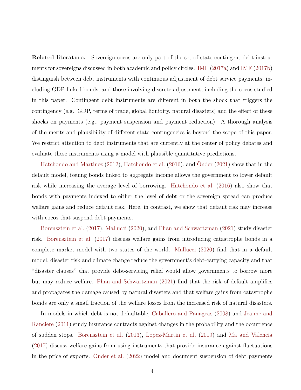**Related literature.** Sovereign cocos are only part of the set of state-contingent debt instruments for sovereigns discussed in both academic and policy circles. [IMF](#page-23-0) ([2017a\)](#page-23-0) and [IMF](#page-23-1) ([2017b\)](#page-23-1) distinguish between debt instruments with continuous adjustment of debt service payments, including GDP-linked bonds, and those involving discrete adjustment, including the cocos studied in this paper. Contingent debt instruments are different in both the shock that triggers the contingency (e.g., GDP, terms of trade, global liquidity, natural disasters) and the effect of these shocks on payments (e.g., payment suspension and payment reduction). A thorough analysis of the merits and plausibility of different state contingencies is beyond the scope of this paper. We restrict attention to debt instruments that are currently at the center of policy debates and evaluate these instruments using a model with plausible quantitative predictions.

[Hatchondo and Martinez](#page-22-4) [\(2012\)](#page-22-4), [Hatchondo et al.](#page-23-3) ([2016](#page-23-3)), and [Önder](#page-24-1) ([2021\)](#page-24-1) show that in the default model, issuing bonds linked to aggregate income allows the government to lower default risk while increasing the average level of borrowing. [Hatchondo et al.](#page-23-3) ([2016](#page-23-3)) also show that bonds with payments indexed to either the level of debt or the sovereign spread can produce welfare gains and reduce default risk. Here, in contrast, we show that default risk may increase with cocos that suspend debt payments.

[Borensztein et al.](#page-21-4) ([2017](#page-21-4)), [Mallucci](#page-24-2) ([2020](#page-24-2)), and [Phan and Schwartzman](#page-24-3) ([2021](#page-24-3)) study disaster risk. [Borensztein et al.](#page-21-4) ([2017](#page-21-4)) discuss welfare gains from introducing catastrophe bonds in a complete market model with two states of the world. [Mallucci](#page-24-2) [\(2020\)](#page-24-2) find that in a default model, disaster risk and climate change reduce the government's debt-carrying capacity and that "disaster clauses" that provide debt-servicing relief would allow governments to borrow more but may reduce welfare. [Phan and Schwartzman](#page-24-3) ([2021](#page-24-3)) find that the risk of default amplifies and propagates the damage caused by natural disasters and that welfare gains from catastrophe bonds are only a small fraction of the welfare losses from the increased risk of natural disasters.

In models in which debt is not defaultable, [Caballero and Panageas](#page-21-5) ([2008](#page-21-5)) and [Jeanne and](#page-23-4) [Ranciere](#page-23-4) [\(2011\)](#page-23-4) study insurance contracts against changes in the probability and the occurrence of sudden stops. [Borensztein et al.](#page-21-6) [\(2013\)](#page-21-6), [Lopez-Martin et al.](#page-23-5) ([2019](#page-23-5)) and [Ma and Valencia](#page-24-4) [\(2017\)](#page-24-4) discuss welfare gains from using instruments that provide insurance against fluctuations in the price of exports. [Önder et al.](#page-24-5) [\(2022\)](#page-24-5) model and document suspension of debt payments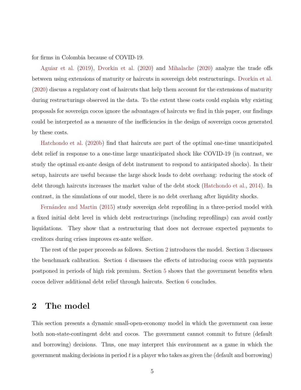for firms in Colombia because of COVID-19.

[Aguiar et al.](#page-20-1) ([2019\)](#page-20-1), [Dvorkin et al.](#page-22-5) [\(2020\)](#page-22-5) and [Mihalache](#page-24-6) ([2020](#page-24-6)) analyze the trade offs between using extensions of maturity or haircuts in sovereign debt restructurings. [Dvorkin et al.](#page-22-5) [\(2020\)](#page-22-5) discuss a regulatory cost of haircuts that help them account for the extensions of maturity during restructurings observed in the data. To the extent these costs could explain why existing proposals for sovereign cocos ignore the advantages of haircuts we find in this paper, our findings could be interpreted as a measure of the inefficiencies in the design of sovereign cocos generated by these costs.

[Hatchondo et al.](#page-23-6) ([2020b\)](#page-23-6) find that haircuts are part of the optimal one-time unanticipated debt relief in response to a one-time large unanticipated shock like COVID-19 (in contrast, we study the optimal ex-ante design of debt instrument to respond to anticipated shocks). In their setup, haircuts are useful because the large shock leads to debt overhang: reducing the stock of debt through haircuts increases the market value of the debt stock ([Hatchondo et al.](#page-23-7), [2014\)](#page-23-7). In contrast, in the simulations of our model, there is no debt overhang after liquidity shocks.

[Fernández and Martin](#page-22-6) ([2015](#page-22-6)) study sovereign debt reprofiling in a three-period model with a fixed initial debt level in which debt restructurings (including reprofilings) can avoid costly liquidations. They show that a restructuring that does not decrease expected payments to creditors during crises improves ex-ante welfare.

The rest of the paper proceeds as follows. Section [2](#page-6-0) introduces the model. Section [3](#page-11-0) discusses the benchmark calibration. Section [4](#page-15-0) discusses the effects of introducing cocos with payments postponed in periods of high risk premium. Section [5](#page-18-0) shows that the government benefits when cocos deliver additional debt relief through haircuts. Section [6](#page-19-0) concludes.

### <span id="page-6-0"></span>**2 The model**

This section presents a dynamic small-open-economy model in which the government can issue both non-state-contingent debt and cocos. The government cannot commit to future (default and borrowing) decisions. Thus, one may interpret this environment as a game in which the government making decisions in period *t* is a player who takes as given the (default and borrowing)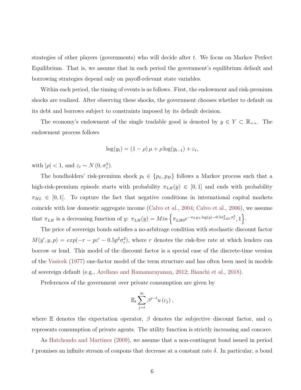strategies of other players (governments) who will decide after *t*. We focus on Markov Perfect Equilibrium. That is, we assume that in each period the government's equilibrium default and borrowing strategies depend only on payoff-relevant state variables.

Within each period, the timing of events is as follows. First, the endowment and risk-premium shocks are realized. After observing these shocks, the government chooses whether to default on its debt and borrows subject to constraints imposed by its default decision.

The economy's endowment of the single tradable good is denoted by  $y \in Y \subset \mathbb{R}_{++}$ . The endowment process follows

$$
\log(y_t) = (1 - \rho)\,\mu + \rho\log(y_{t-1}) + \varepsilon_t,
$$

with  $|\rho| < 1$ , and  $\varepsilon_t \sim N(0, \sigma_{\varepsilon}^2)$ .

The bondholders' risk-premium shock  $p_t \in \{p_L, p_H\}$  follows a Markov process such that a high-risk-premium episode starts with probability  $\pi_{LH}(y) \in [0,1]$  and ends with probability  $\pi_{HL} \in [0,1].$  To capture the fact that negative conditions in international capital markets coincide with low domestic aggregate income ([Calvo et al.,](#page-22-7) [2004](#page-22-7); [Calvo et al.,](#page-22-8) [2006](#page-22-8)), we assume that  $\pi_{LH}$  is a decreasing function of y:  $\pi_{LH}(y) = Min \left\{ \pi_{LH0} e^{-\pi_{LH1} \log(y) - 0.5 \pi_{LH1}^2 \sigma_{\varepsilon}^2}, 1 \right\}$ .

The price of sovereign bonds satisfies a no-arbitrage condition with stochastic discount factor  $M(y', y, p) = exp(-r - p\varepsilon' - 0.5p^2\sigma_{\varepsilon}^2)$ , where *r* denotes the risk-free rate at which lenders can borrow or lend. This model of the discount factor is a special case of the discrete-time version of the [Vasicek](#page-24-7) ([1977](#page-24-7)) one-factor model of the term structure and has often been used in models of sovereign default (e.g., [Arellano and Ramanarayanan](#page-21-7), [2012;](#page-21-7) [Bianchi et al.](#page-21-8), [2018](#page-21-8)).

Preferences of the government over private consumption are given by

$$
\mathbb{E}_{t}\sum_{j=t}^{\infty}\beta^{j-t}u\left(c_{j}\right),\,
$$

where E denotes the expectation operator,  $\beta$  denotes the subjective discount factor, and  $c_t$ represents consumption of private agents. The utility function is strictly increasing and concave.

As [Hatchondo and Martinez](#page-22-9) [\(2009\)](#page-22-9), we assume that a non-contingent bond issued in period *t* promises an infinite stream of coupons that decrease at a constant rate *δ*. In particular, a bond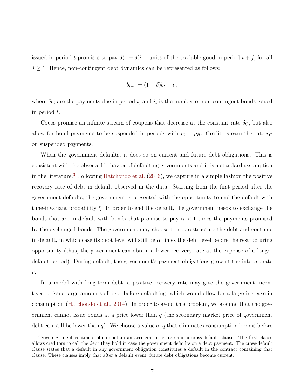issued in period *t* promises to pay  $\delta(1-\delta)^{j-1}$  units of the tradable good in period  $t+j$ , for all  $j \geq 1$ . Hence, non-contingent debt dynamics can be represented as follows:

$$
b_{t+1} = (1 - \delta)b_t + i_t,
$$

where  $\delta b_t$  are the payments due in period  $t$ , and  $i_t$  is the number of non-contingent bonds issued in period *t*.

Cocos promise an infinite stream of coupons that decrease at the constant rate  $\delta_C$ , but also allow for bond payments to be suspended in periods with  $p_t = p_H$ . Creditors earn the rate  $r_C$ on suspended payments.

When the government defaults, it does so on current and future debt obligations. This is consistent with the observed behavior of defaulting governments and it is a standard assumption in the literature.<sup>[3](#page-8-0)</sup> Following [Hatchondo et al.](#page-23-3)  $(2016)$ , we capture in a simple fashion the positive recovery rate of debt in default observed in the data. Starting from the first period after the government defaults, the government is presented with the opportunity to end the default with time-invariant probability *ξ*. In order to end the default, the government needs to exchange the bonds that are in default with bonds that promise to pay  $\alpha < 1$  times the payments promised by the exchanged bonds. The government may choose to not restructure the debt and continue in default, in which case its debt level will still be  $\alpha$  times the debt level before the restructuring opportunity (thus, the government can obtain a lower recovery rate at the expense of a longer default period). During default, the government's payment obligations grow at the interest rate *r*.

In a model with long-term debt, a positive recovery rate may give the government incentives to issue large amounts of debt before defaulting, which would allow for a large increase in consumption [\(Hatchondo et al.,](#page-23-7) [2014](#page-23-7)). In order to avoid this problem, we assume that the government cannot issue bonds at a price lower than *q* (the secondary market price of government debt can still be lower than *q*). We choose a value of *q* that eliminates consumption booms before

<span id="page-8-0"></span><sup>3</sup>Sovereign debt contracts often contain an acceleration clause and a cross-default clause. The first clause allows creditors to call the debt they hold in case the government defaults on a debt payment. The cross-default clause states that a default in any government obligation constitutes a default in the contract containing that clause. These clauses imply that after a default event, future debt obligations become current.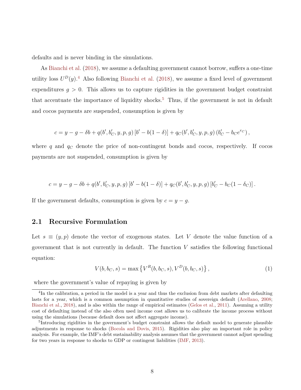defaults and is never binding in the simulations.

As [Bianchi et al.](#page-21-8) ([2018](#page-21-8)), we assume a defaulting government cannot borrow, suffers a one-time utility loss  $U^D(y)$ .<sup>[4](#page-9-0)</sup> Also following [Bianchi et al.](#page-21-8) ([2018](#page-21-8)), we assume a fixed level of government expenditures  $g > 0$ . This allows us to capture rigidities in the government budget constraint that accentuate the importance of liquidity shocks.<sup>[5](#page-9-1)</sup> Thus, if the government is not in default and cocos payments are suspended, consumption is given by

$$
c = y - g - \delta b + q(b', b'_C, y, p, g) [b' - b(1 - \delta)] + q_C(b', b'_C, y, p, g) (b'_C - b_C e^{rc}),
$$

where  $q$  and  $q_C$  denote the price of non-contingent bonds and cocos, respectively. If cocos payments are not suspended, consumption is given by

$$
c = y - g - \delta b + q(b', b'_C, y, p, g) [b' - b(1 - \delta)] + q_C(b', b'_C, y, p, g) [b'_C - b_C(1 - \delta_C)].
$$

If the government defaults, consumption is given by  $c = y - q$ .

#### **2.1 Recursive Formulation**

Let  $s \equiv (y, p)$  denote the vector of exogenous states. Let *V* denote the value function of a government that is not currently in default. The function *V* satisfies the following functional equation:

<span id="page-9-2"></span>
$$
V(b, bC, s) = \max \{ VR(b, bC, s), VD(b, bC, s) \},
$$
\n(1)

where the government's value of repaying is given by

<span id="page-9-0"></span><sup>&</sup>lt;sup>4</sup>In the calibration, a period in the model is a year and thus the exclusion from debt markets after defaulting lasts for a year, which is a common assumption in quantitative studies of sovereign default [\(Arellano](#page-21-3), [2008;](#page-21-3) [Bianchi et al.](#page-21-8), [2018](#page-21-8)), and is also within the range of empirical estimates ([Gelos et al.](#page-22-10), [2011](#page-22-10)). Assuming a utility cost of defaulting instead of the also often used income cost allows us to calibrate the income process without using the simulations (because default does not affect aggregate income).

<span id="page-9-1"></span><sup>&</sup>lt;sup>5</sup>Introducing rigidities in the government's budget constraint allows the default model to generate plausible adjustments in response to shocks ([Bocola and Dovis](#page-21-9), [2015](#page-21-9)). Rigidities also play an important role in policy analysis. For example, the IMF's debt sustainability analysis assumes that the government cannot adjust spending for two years in response to shocks to GDP or contingent liabilities ([IMF](#page-23-8), [2013](#page-23-8)).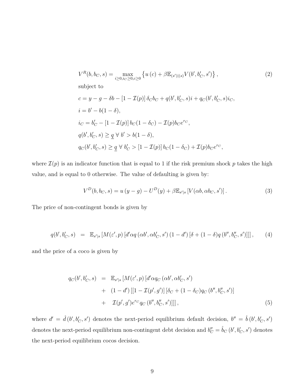<span id="page-10-0"></span>
$$
V^{R}(b, b_{C}, s) = \max_{i \ge 0, i_{C} \ge 0, c \ge 0} \{ u(c) + \beta \mathbb{E}_{(s')|(s)} V(b', b'_{C}, s') \},
$$
  
\nsubject to  
\n
$$
c = y - g - \delta b - [1 - \mathcal{I}(p)] \delta_{C} b_{C} + q(b', b'_{C}, s)i + q_{C}(b', b'_{C}, s)i_{C},
$$
  
\n
$$
i = b' - b(1 - \delta),
$$
  
\n
$$
i_{C} = b'_{C} - [1 - \mathcal{I}(p)] b_{C}(1 - \delta_{C}) - \mathcal{I}(p) b_{C} e^{rc},
$$
  
\n
$$
q(b', b'_{C}, s) \ge q \forall b' > b(1 - \delta),
$$
  
\n
$$
q_{C}(b', b'_{C}, s) \ge q \forall b'_{C} > [1 - \mathcal{I}(p)] b_{C}(1 - \delta_{C}) + \mathcal{I}(p) b_{C} e^{rc},
$$
\n(2)

where  $\mathcal{I}(p)$  is an indicator function that is equal to 1 if the risk premium shock  $p$  takes the high value, and is equal to 0 otherwise. The value of defaulting is given by:

<span id="page-10-1"></span>
$$
V^{D}(b, b_{C}, s) = u(y - g) - U^{D}(y) + \beta \mathbb{E}_{s'|s} \left[ V(\alpha b, \alpha b_{C}, s') \right]. \tag{3}
$$

The price of non-contingent bonds is given by

<span id="page-10-2"></span>
$$
q(b', b'_C, s) = \mathbb{E}_{s'|s} \left[ M(\varepsilon', p) \left[ d' \alpha q \left( \alpha b', \alpha b'_C, s' \right) (1 - d') \left[ \delta + (1 - \delta) q \left( b'', b''_C, s' \right) \right] \right] \right],\tag{4}
$$

and the price of a coco is given by

<span id="page-10-3"></span>
$$
q_C(b', b'_C, s) = \mathbb{E}_{s'|s} [M(\varepsilon', p) [d' \alpha q_C (\alpha b', \alpha b'_C, s')+ (1 - d') [[1 - \mathcal{I}(p', g')] [\delta_C + (1 - \delta_C) q_C (b'', b''_C, s')]+ \mathcal{I}(p', g') e^{rc} q_C (b'', b''_C, s')]]],
$$
(5)

where  $d' = \hat{d}(b', b'_{C}, s')$  denotes the next-period equilibrium default decision,  $b'' = \hat{b}(b', b'_{C}, s')$ denotes the next-period equilibrium non-contingent debt decision and  $b''_C = \hat{b}_C(b', b'_C, s')$  denotes the next-period equilibrium cocos decision.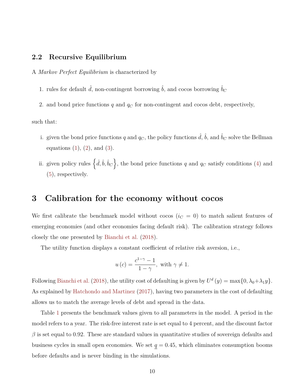#### **2.2 Recursive Equilibrium**

A *Markov Perfect Equilibrium* is characterized by

1. rules for default  $\hat{d}$ , non-contingent borrowing  $\hat{b}$ , and cocos borrowing  $\hat{b}_C$ 

2. and bond price functions *q* and *q<sup>C</sup>* for non-contingent and cocos debt, respectively,

such that:

- i. given the bond price functions  $q$  and  $q_C$ , the policy functions  $\hat{d}$ ,  $\hat{b}$ , and  $\hat{b}_C$  solve the Bellman equations  $(1)$  $(1)$ ,  $(2)$  $(2)$ , and  $(3)$  $(3)$ .
- ii. given policy rules  $\{\hat{d}, \hat{b}, \hat{b}_C\}$ , the bond price functions *q* and *q<sub>C</sub>* satisfy conditions [\(4\)](#page-10-2) and [\(5](#page-10-3)), respectively.

### <span id="page-11-0"></span>**3 Calibration for the economy without cocos**

We first calibrate the benchmark model without cocos  $(i_C = 0)$  to match salient features of emerging economies (and other economies facing default risk). The calibration strategy follows closely the one presented by [Bianchi et al.](#page-21-8) [\(2018\)](#page-21-8).

The utility function displays a constant coefficient of relative risk aversion, i.e.,

$$
u(c) = \frac{c^{1-\gamma} - 1}{1 - \gamma}, \text{ with } \gamma \neq 1.
$$

Following [Bianchi et al.](#page-21-8) [\(2018\)](#page-21-8), the utility cost of defaulting is given by  $U^d(y) = \max\{0, \lambda_0 + \lambda_1 y\}.$ As explained by [Hatchondo and Martinez](#page-22-11) [\(2017\)](#page-22-11), having two parameters in the cost of defaulting allows us to match the average levels of debt and spread in the data.

Table [1](#page-12-0) presents the benchmark values given to all parameters in the model. A period in the model refers to a year. The risk-free interest rate is set equal to 4 percent, and the discount factor  $\beta$  is set equal to 0.92. These are standard values in quantitative studies of sovereign defaults and business cycles in small open economies. We set  $q = 0.45$ , which eliminates consumption booms before defaults and is never binding in the simulations.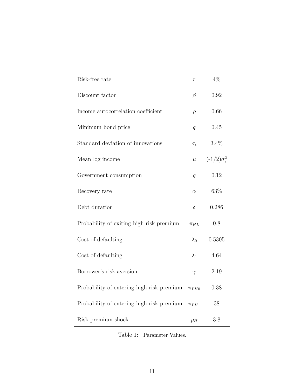| Risk-free rate                            | $\mathcal{r}$       | $4\%$                         |
|-------------------------------------------|---------------------|-------------------------------|
| Discount factor                           | $\beta$             | 0.92                          |
| Income autocorrelation coefficient        | $\rho$              | 0.66                          |
| Minimum bond price                        | $\underline{q}$     | 0.45                          |
| Standard deviation of innovations         | $\sigma_{\epsilon}$ | $3.4\%$                       |
| Mean log income                           | $\mu$               | $(-1/2)\sigma_{\epsilon}^{2}$ |
| Government consumption                    | $\mathfrak{g}$      | 0.12                          |
| Recovery rate                             | $\alpha$            | 63\%                          |
| Debt duration                             | $\delta$            | 0.286                         |
| Probability of exiting high risk premium  | $\pi_{HL}$          | 0.8                           |
| Cost of defaulting                        | $\lambda_0$         | 0.5305                        |
| Cost of defaulting                        | $\lambda_1$         | 4.64                          |
| Borrower's risk aversion                  | $\gamma$            | 2.19                          |
| Probability of entering high risk premium | $\pi_{LHO}$         | 0.38                          |
| Probability of entering high risk premium | $\pi_{LH1}$         | 38                            |
| Risk-premium shock                        | $p_H$               | 3.8                           |

<span id="page-12-0"></span>Table 1: Parameter Values.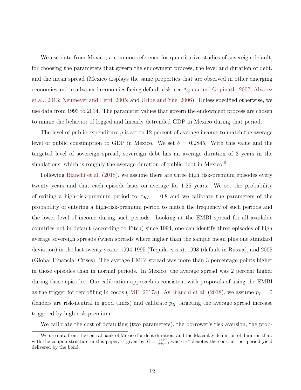We use data from Mexico, a common reference for quantitative studies of sovereign default, for choosing the parameters that govern the endowment process, the level and duration of debt, and the mean spread (Mexico displays the same properties that are observed in other emerging economies and in advanced economies facing default risk; see [Aguiar and Gopinath,](#page-20-2) [2007;](#page-20-2) [Alvarez](#page-21-10) [et al.](#page-21-10), [2013](#page-21-10); [Neumeyer and Perri](#page-24-8), [2005](#page-24-8); and [Uribe and Yue,](#page-24-9) [2006\)](#page-24-9). Unless specified otherwise, we use data from 1993 to 2014. The parameter values that govern the endowment process are chosen to mimic the behavior of logged and linearly detrended GDP in Mexico during that period.

The level of public expenditure *g* is set to 12 percent of average income to match the average level of public consumption to GDP in Mexico. We set  $\delta = 0.2845$ . With this value and the targeted level of sovereign spread, sovereign debt has an average duration of 3 years in the simulations, which is roughly the average duration of public debt in Mexico.<sup>[6](#page-13-0)</sup>

Following [Bianchi et al.](#page-21-8) ([2018](#page-21-8)), we assume there are three high risk-premium episodes every twenty years and that each episode lasts on average for 1.25 years. We set the probability of exiting a high-risk-premium period to  $\pi_{HL} = 0.8$  and we calibrate the parameters of the probability of entering a high-risk-premium period to match the frequency of such periods and the lower level of income during such periods. Looking at the EMBI spread for all available countries not in default (according to Fitch) since 1994, one can identify three episodes of high average sovereign spreads (when spreads where higher than the sample mean plus one standard deviation) in the last twenty years: 1994-1995 (Tequila crisis), 1998 (default in Russia), and 2008 (Global Financial Crises). The average EMBI spread was more than 3 percentage points higher in those episodes than in normal periods. In Mexico, the average spread was 2 percent higher during those episodes. Our calibration approach is consistent with proposals of using the EMBI as the trigger for reprofiling in cocos ([IMF](#page-23-0), [2017a\)](#page-23-0). As [Bianchi et al.](#page-21-8) [\(2018\)](#page-21-8), we assume  $p_L = 0$ (lenders are risk-neutral in good times) and calibrate *p<sup>H</sup>* targeting the average spread increase triggered by high risk premium.

<span id="page-13-0"></span>We calibrate the cost of defaulting (two parameters), the borrower's risk aversion, the prob-

 $6$ We use data from the central bank of Mexico for debt duration, and the Macaulay definition of duration that, with the coupon structure in this paper, is given by  $D = \frac{1+r^*}{\delta+r^*}$ , where  $r^*$  denotes the constant per-period yield delivered by the bond.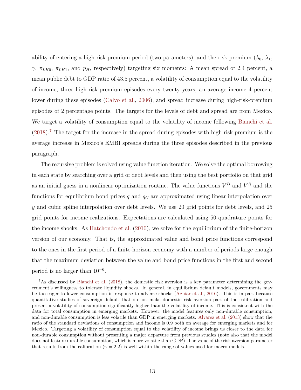ability of entering a high-risk-premium period (two parameters), and the risk premium  $(\lambda_0, \lambda_1,$ *γ*,  $π$ <sub>*LH*0</sub>,  $π$ <sub>*LH*1</sub>, and *p<sub>H</sub>*, respectively) targeting six moments: A mean spread of 2.4 percent, a mean public debt to GDP ratio of 43.5 percent, a volatility of consumption equal to the volatility of income, three high-risk-premium episodes every twenty years, an average income 4 percent lower during these episodes [\(Calvo et al.](#page-22-8), [2006](#page-22-8)), and spread increase during high-risk-premium episodes of 2 percentage points. The targets for the levels of debt and spread are from Mexico. We target a volatility of consumption equal to the volatility of income following [Bianchi et al.](#page-21-8)  $(2018).$  $(2018).$ <sup>[7](#page-14-0)</sup> The target for the increase in the spread during episodes with high risk premium is the average increase in Mexico's EMBI spreads during the three episodes described in the previous paragraph.

The recursive problem is solved using value function iteration. We solve the optimal borrowing in each state by searching over a grid of debt levels and then using the best portfolio on that grid as an initial guess in a nonlinear optimization routine. The value functions  $V^D$  and  $V^R$  and the functions for equilibrium bond prices *q* and *q<sup>C</sup>* are approximated using linear interpolation over *y* and cubic spline interpolation over debt levels. We use 20 grid points for debt levels, and 25 grid points for income realizations. Expectations are calculated using 50 quadrature points for the income shocks. As [Hatchondo et al.](#page-23-9) ([2010](#page-23-9)), we solve for the equilibrium of the finite-horizon version of our economy. That is, the approximated value and bond price functions correspond to the ones in the first period of a finite-horizon economy with a number of periods large enough that the maximum deviation between the value and bond price functions in the first and second period is no larger than 10*−*<sup>6</sup> .

<span id="page-14-0"></span><sup>7</sup>As discussed by [Bianchi et al.](#page-21-8) ([2018\)](#page-21-8), the domestic risk aversion is a key parameter determining the government's willingness to tolerate liquidity shocks. In general, in equilibrium default models, governments may be too eager to lower consumption in response to adverse shocks [\(Aguiar et al.](#page-20-3), [2016\)](#page-20-3). This is in part because quantitative studies of sovereign default that do not make domestic risk aversion part of the calibration and present a volatility of consumption significantly higher than the volatility of income. This is consistent with the data for total consumption in emerging markets. However, the model features only non-durable consumption, and non-durable consumption is less volatile than GDP in emerging markets. [Alvarez et al.](#page-21-10) ([2013\)](#page-21-10) show that the ratio of the standard deviations of consumption and income is 0.9 both on average for emerging markets and for Mexico. Targeting a volatility of consumption equal to the volatility of income brings us closer to the data for non-durable consumption without presenting a major departure from previous studies (note also that the model does not feature durable consumption, which is more volatile than GDP). The value of the risk aversion parameter that results from the calibration ( $\gamma = 2.2$ ) is well within the range of values used for macro models.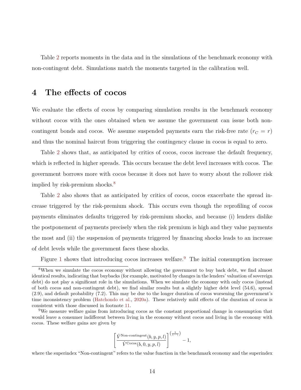Table [2](#page-16-0) reports moments in the data and in the simulations of the benchmark economy with non-contingent debt. Simulations match the moments targeted in the calibration well.

### <span id="page-15-0"></span>**4 The effects of cocos**

We evaluate the effects of cocos by comparing simulation results in the benchmark economy without cocos with the ones obtained when we assume the government can issue both noncontingent bonds and cocos. We assume suspended payments earn the risk-free rate  $(r_C = r)$ and thus the nominal haircut from triggering the contingency clause in cocos is equal to zero.

Table [2](#page-16-0) shows that, as anticipated by critics of cocos, cocos increase the default frequency, which is reflected in higher spreads. This occurs because the debt level increases with cocos. The government borrows more with cocos because it does not have to worry about the rollover risk implied by risk-premium shocks.<sup>[8](#page-15-1)</sup>

Table [2](#page-16-0) also shows that as anticipated by critics of cocos, cocos exacerbate the spread increase triggered by the risk-premium shock. This occurs even though the reprofiling of cocos payments eliminates defaults triggered by risk-premium shocks, and because (i) lenders dislike the postponement of payments precisely when the risk premium is high and they value payments the most and (ii) the suspension of payments triggered by financing shocks leads to an increase of debt levels while the government faces these shocks.

Figure [1](#page-17-0) shows that introducing cocos increases welfare.<sup>[9](#page-15-2)</sup> The initial consumption increase

$$
\left[\frac{\hat{V}^{\text{Non-contingent}}(b, y, p, l)}{\hat{V}^{\text{Cocos}}(b, 0, y, p, l)}\right]^{\left(\frac{1}{1-\gamma}\right)} - 1,
$$

where the superindex "Non-contingent" refers to the value function in the benchmark economy and the superindex

<span id="page-15-1"></span><sup>&</sup>lt;sup>8</sup>When we simulate the cocos economy without allowing the government to buy back debt, we find almost identical results, indicating that buybacks (for example, motivated by changes in the lenders' valuation of sovereign debt) do not play a significant role in the simulations. When we simulate the economy with only cocos (instead of both cocos and non-contingent debt), we find similar results but a slightly higher debt level (54.6), spread (2.9), and default probability (7.2). This may be due to the longer duration of cocos worsening the government's time inconsistency problem ([Hatchondo et al.](#page-23-10), [2020a\)](#page-23-10). These relatively mild effects of the duration of cocos is consistent with those discussed in footnote [11](#page-19-1).

<span id="page-15-2"></span><sup>9</sup>We measure welfare gains from introducing cocos as the constant proportional change in consumption that would leave a consumer indifferent between living in the economy without cocos and living in the economy with cocos. These welfare gains are given by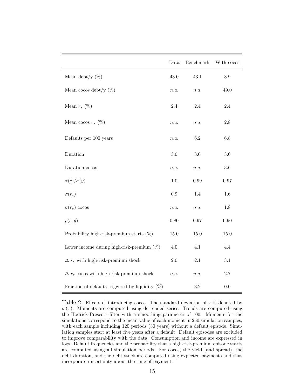|                                                    | Data      | Benchmark | With cocos |
|----------------------------------------------------|-----------|-----------|------------|
| Mean debt/y $(\%)$                                 | 43.0      | 43.1      | $3.9\,$    |
| Mean cocos debt/y $(\%)$                           | n.a.      | n.a.      | 49.0       |
| Mean $r_s$ (%)                                     | $2.4\,$   | $2.4\,$   | $2.4\,$    |
| Mean cocos $r_s$ (%)                               | n.a.      | n.a.      | $2.8\,$    |
| Defaults per 100 years                             | n.a.      | $6.2\,$   | $6.8\,$    |
| Duration                                           | $3.0\,$   | 3.0       | 3.0        |
| Duration cocos                                     | n.a.      | n.a.      | $3.6\,$    |
| $\sigma(c)/\sigma(y)$                              | $1.0\,$   | 0.99      | $0.97\,$   |
| $\sigma(r_s)$                                      | $\rm 0.9$ | 1.4       | 1.6        |
| $\sigma(r_s)$ cocos                                | n.a.      | n.a.      | 1.8        |
| $\rho(c, y)$                                       | 0.80      | 0.97      | 0.90       |
| Probability high-risk-premium starts $(\%)$        | 15.0      | 15.0      | 15.0       |
| Lower income during high-risk-premium $(\%)$       | 4.0       | $4.1\,$   | $4.4\,$    |
| $\Delta r_s$ with high-risk-premium shock          | $2.0\,$   | $2.1\,$   | 3.1        |
| $\Delta r_s$ cocos with high-risk-premium shock    | n.a.      | n.a.      | $2.7\,$    |
| Fraction of defaults triggered by liquidity $(\%)$ |           | $3.2\,$   | $0.0\,$    |

<span id="page-16-0"></span>Table 2: Effects of introducing cocos. The standard deviation of *x* is denoted by  $\sigma(x)$ . Moments are computed using detrended series. Trends are computed using the Hodrick-Prescott filter with a smoothing parameter of 100. Moments for the simulations correspond to the mean value of each moment in 250 simulation samples, with each sample including 120 periods (30 years) without a default episode. Simulation samples start at least five years after a default. Default episodes are excluded to improve comparability with the data. Consumption and income are expressed in logs. Default frequencies and the probability that a high-risk-premium episode starts are computed using all simulation periods. For cocos, the yield (and spread), the debt duration, and the debt stock are computed using expected payments and thus incorporate uncertainty about the time of payment.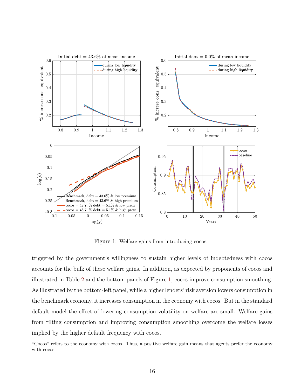

<span id="page-17-0"></span>Figure 1: Welfare gains from introducing cocos.

triggered by the government's willingness to sustain higher levels of indebtedness with cocos accounts for the bulk of these welfare gains. In addition, as expected by proponents of cocos and illustrated in Table [2](#page-16-0) and the bottom panels of Figure [1](#page-17-0), cocos improve consumption smoothing. As illustrated by the bottom-left panel, while a higher lenders' risk aversion lowers consumption in the benchmark economy, it increases consumption in the economy with cocos. But in the standard default model the effect of lowering consumption volatility on welfare are small. Welfare gains from tilting consumption and improving consumption smoothing overcome the welfare losses implied by the higher default frequency with cocos.

<sup>&</sup>quot;Cocos" refers to the economy with cocos. Thus, a positive welfare gain means that agents prefer the economy with cocos.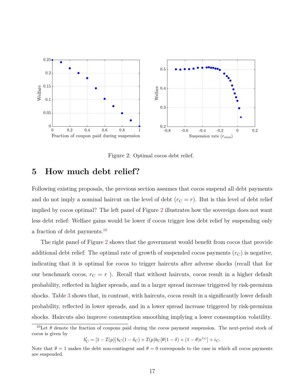

<span id="page-18-1"></span>Figure 2: Optimal cocos debt relief.

# <span id="page-18-0"></span>**5 How much debt relief?**

Following existing proposals, the previous section assumes that cocos suspend all debt payments and do not imply a nominal haircut on the level of debt  $(r<sub>C</sub> = r)$ . But is this level of debt relief implied by cocos optimal? The left panel of Figure [2](#page-18-1) illustrates how the sovereign does not want less debt relief: Welfare gains would be lower if cocos trigger less debt relief by suspending only a fraction of debt payments.[10](#page-18-2)

The right panel of Figure [2](#page-18-1) shows that the government would benefit from cocos that provide additional debt relief: The optimal rate of growth of suspended cocos payments  $(r_C)$  is negative, indicating that it is optimal for cocos to trigger haircuts after adverse shocks (recall that for our benchmark cocos,  $r_C = r$ ). Recall that without haircuts, cocos result in a higher default probability, reflected in higher spreads, and in a larger spread increase triggered by risk-premium shocks. Table [3](#page-20-4) shows that, in contrast, with haircuts, cocos result in a significantly lower default probability, reflected in lower spreads, and in a lower spread increase triggered by risk-premium shocks. Haircuts also improve consumption smoothing implying a lower consumption volatility.

 $b'_{C} = [1 - \mathcal{I}(p)] b_{C} (1 - \delta_{C}) + \mathcal{I}(p) b_{C} [\theta (1 - \delta) + (1 - \theta) e^{rc}] + i_{C}.$ 

<span id="page-18-2"></span><sup>&</sup>lt;sup>10</sup>Let  $\theta$  denote the fraction of coupons paid during the cocos payment suspension. The next-period stock of cocos is given by

Note that  $\theta = 1$  makes the debt non-contingent and  $\theta = 0$  corresponds to the case in which all cocos payments are suspended.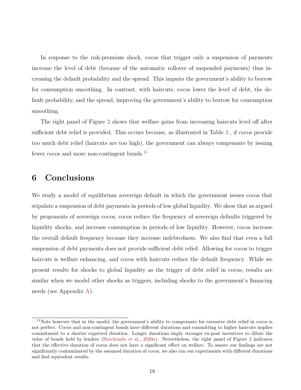In response to the risk-premium shock, cocos that trigger only a suspension of payments increase the level of debt (because of the automatic rollover of suspended payments) thus increasing the default probability and the spread. This impairs the government's ability to borrow for consumption smoothing. In contrast, with haircuts, cocos lower the level of debt, the default probability, and the spread, improving the government's ability to borrow for consumption smoothing.

The right panel of Figure [2](#page-18-1) shows that welfare gains from increasing haircuts level off after sufficient debt relief is provided. This occurs because, as illustrated in Table [3](#page-20-4) , if cocos provide too much debt relief (haircuts are too high), the government can always compensate by issuing fewer cocos and more non-contingent bonds.<sup>[11](#page-19-1)</sup>

# <span id="page-19-0"></span>**6 Conclusions**

We study a model of equilibrium sovereign default in which the government issues cocos that stipulate a suspension of debt payments in periods of low global liquidity. We show that as argued by proponents of sovereign cocos, cocos reduce the frequency of sovereign defaults triggered by liquidity shocks, and increase consumption in periods of low liquidity. However, cocos increase the overall default frequency because they increase indebtedness. We also find that even a full suspension of debt payments does not provide sufficient debt relief: Allowing for cocos to trigger haircuts is welfare enhancing, and cocos with haircuts reduce the default frequency. While we present results for shocks to global liquidity as the trigger of debt relief in cocos, results are similar when we model other shocks as triggers, including shocks to the government's financing needs (see Appendix [A\)](#page-25-0).

<span id="page-19-1"></span><sup>11</sup>Note however that in the model, the government's ability to compensate for excessive debt relief in cocos is not perfect. Cocos and non-contingent bonds have different durations and committing to higher haircuts implies commitment to a shorter expected duration. Longer durations imply stronger ex-post incentives to dilute the value of bonds held by lenders ([Hatchondo et al.](#page-23-10), [2020a](#page-23-10)). Nevertheless, the right panel of Figure [2](#page-18-1) indicates that the effective duration of cocos does not have a significant effect on welfare. To assure our findings are not significantly contaminated by the assumed duration of cocos, we also run our experiments with different durations and find equivalent results.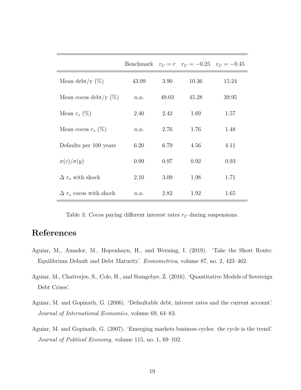|                               |       |       | Benchmark $r_C = r$ $r_C = -0.25$ $r_C = -0.45$ |       |
|-------------------------------|-------|-------|-------------------------------------------------|-------|
| Mean debt/y $(\%)$            | 43.09 | 3.90  | 10.36                                           | 15.24 |
| Mean cocos debt/y $(\%)$      | n.a.  | 49.03 | 45.28                                           | 39.95 |
| Mean $r_s$ (%)                | 2.40  | 2.42  | 1.69                                            | 1.57  |
| Mean cocos $r_s$ (%)          | n.a.  | 2.76  | 1.76                                            | 1.48  |
| Defaults per 100 years        | 6.20  | 6.79  | 4.56                                            | 4.11  |
| $\sigma(c)/\sigma(y)$         | 0.99  | 0.97  | 0.92                                            | 0.93  |
| $\Delta r_s$ with shock       | 2.10  | 3.09  | 1.98                                            | 1.71  |
| $\Delta r_s$ cocos with shock | n.a.  | 2.82  | 1.92                                            | 1.65  |

<span id="page-20-4"></span>Table 3: Cocos paying different interest rates  $r_C$  during suspensions.

# **References**

- <span id="page-20-1"></span>Aguiar, M., Amador, M., Hopenhayn, H., and Werning, I. (2019). 'Take the Short Route: Equilibrium Default and Debt Maturity'. *Econometrica*, volume 87, no. 2, 423–462.
- <span id="page-20-3"></span>Aguiar, M., Chatterjee, S., Cole, H., and Stangebye, Z. (2016). 'Quantitative Models of Sovereign Debt Crises'.
- <span id="page-20-0"></span>Aguiar, M. and Gopinath, G. (2006). 'Defaultable debt, interest rates and the current account'. *Journal of International Economics*, volume 69, 64–83.
- <span id="page-20-2"></span>Aguiar, M. and Gopinath, G. (2007). 'Emerging markets business cycles: the cycle is the trend'. *Journal of Political Economy*, volume 115, no. 1, 69–102.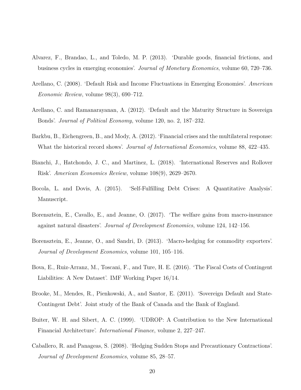- <span id="page-21-10"></span>Alvarez, F., Brandao, L., and Toledo, M. P. (2013). 'Durable goods, financial frictions, and business cycles in emerging economies'. *Journal of Monetary Economics*, volume 60, 720–736.
- <span id="page-21-3"></span>Arellano, C. (2008). 'Default Risk and Income Fluctuations in Emerging Economies'. *American Economic Review*, volume 98(3), 690–712.
- <span id="page-21-7"></span>Arellano, C. and Ramanarayanan, A. (2012). 'Default and the Maturity Structure in Sovereign Bonds'. *Journal of Political Economy*, volume 120, no. 2, 187–232.
- <span id="page-21-0"></span>Barkbu, B., Eichengreen, B., and Mody, A. (2012). 'Financial crises and the multilateral response: What the historical record shows'. *Journal of International Economics*, volume 88, 422–435.
- <span id="page-21-8"></span>Bianchi, J., Hatchondo, J. C., and Martinez, L. (2018). 'International Reserves and Rollover Risk'. *American Economics Review*, volume 108(9), 2629–2670.
- <span id="page-21-9"></span>Bocola, L. and Dovis, A. (2015). 'Self-Fulfilling Debt Crises: A Quantitative Analysis'. Manuscript.
- <span id="page-21-4"></span>Borensztein, E., Cavallo, E., and Jeanne, O. (2017). 'The welfare gains from macro-insurance against natural disasters'. *Journal of Development Economics*, volume 124, 142–156.
- <span id="page-21-6"></span>Borensztein, E., Jeanne, O., and Sandri, D. (2013). 'Macro-hedging for commodity exporters'. *Journal of Development Economics*, volume 101, 105–116.
- <span id="page-21-11"></span>Bova, E., Ruiz-Arranz, M., Toscani, F., and Ture, H. E. (2016). 'The Fiscal Costs of Contingent Liabilities: A New Dataset'. IMF Working Paper 16/14.
- <span id="page-21-1"></span>Brooke, M., Mendes, R., Pienkowski, A., and Santor, E. (2011). 'Sovereign Default and State-Contingent Debt'. Joint study of the Bank of Canada and the Bank of England.
- <span id="page-21-2"></span>Buiter, W. H. and Sibert, A. C. (1999). 'UDROP: A Contribution to the New International Financial Architecture'. *International Finance*, volume 2, 227–247.
- <span id="page-21-5"></span>Caballero, R. and Panageas, S. (2008). 'Hedging Sudden Stops and Precautionary Contractions'. *Journal of Development Economics*, volume 85, 28–57.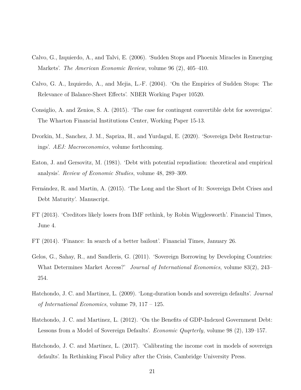- <span id="page-22-8"></span>Calvo, G., Izquierdo, A., and Talvi, E. (2006). 'Sudden Stops and Phoenix Miracles in Emerging Markets'. *The American Economic Review*, volume 96 (2), 405–410.
- <span id="page-22-7"></span>Calvo, G. A., Izquierdo, A., and Mejia, L.-F. (2004). 'On the Empirics of Sudden Stops: The Relevance of Balance-Sheet Effects'. NBER Working Paper 10520.
- <span id="page-22-0"></span>Consiglio, A. and Zenios, S. A. (2015). 'The case for contingent convertible debt for sovereigns'. The Wharton Financial Institutions Center, Working Paper 15-13.
- <span id="page-22-5"></span>Dvorkin, M., Sanchez, J. M., Sapriza, H., and Yurdagul, E. (2020). 'Sovereign Debt Restructurings'. *AEJ: Macroeconomics*, volume forthcoming.
- <span id="page-22-3"></span>Eaton, J. and Gersovitz, M. (1981). 'Debt with potential repudiation: theoretical and empirical analysis'. *Review of Economic Studies*, volume 48, 289–309.
- <span id="page-22-6"></span>Fernández, R. and Martin, A. (2015). 'The Long and the Short of It: Sovereign Debt Crises and Debt Maturity'. Manuscript.
- <span id="page-22-1"></span>FT (2013). 'Creditors likely losers from IMF rethink, by Robin Wigglesworth'. Financial Times, June 4.
- <span id="page-22-2"></span>FT (2014). 'Finance: In search of a better bailout'. Financial Times, January 26.
- <span id="page-22-10"></span>Gelos, G., Sahay, R., and Sandleris, G. (2011). 'Sovereign Borrowing by Developing Countries: What Determines Market Access?' *Journal of International Economics*, volume 83(2), 243– 254.
- <span id="page-22-9"></span>Hatchondo, J. C. and Martinez, L. (2009). 'Long-duration bonds and sovereign defaults'. *Journal of International Economics*, volume 79, 117 – 125.
- <span id="page-22-4"></span>Hatchondo, J. C. and Martinez, L. (2012). 'On the Benefits of GDP-Indexed Government Debt: Lessons from a Model of Sovereign Defaults'. *Economic Quqrterly*, volume 98 (2), 139–157.
- <span id="page-22-11"></span>Hatchondo, J. C. and Martinez, L. (2017). 'Calibrating the income cost in models of sovereign defaults'. In Rethinking Fiscal Policy after the Crisis, Cambridge University Press.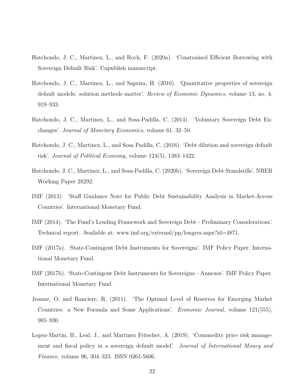- <span id="page-23-10"></span>Hatchondo, J. C., Martinez, L., and Roch, F. (2020a). 'Constrained Efficient Borrowing with Sovereign Default Risk'. Unpublish manuscript.
- <span id="page-23-9"></span>Hatchondo, J. C., Martinez, L., and Sapriza, H. (2010). 'Quantitative properties of sovereign default models: solution methods matter'. *Review of Economic Dynamics*, volume 13, no. 4, 919–933.
- <span id="page-23-7"></span>Hatchondo, J. C., Martinez, L., and Sosa-Padilla, C. (2014). 'Voluntary Sovereign Debt Exchanges'. *Journal of Monetary Economics*, volume 61, 32–50.
- <span id="page-23-3"></span>Hatchondo, J. C., Martinez, L., and Sosa Padilla, C. (2016). 'Debt dilution and sovereign default risk'. *Journal of Political Economy*, volume 124(5), 1383–1422.
- <span id="page-23-6"></span>Hatchondo, J. C., Martinez, L., and Sosa-Padilla, C. (2020b). 'Sovereign Debt Standstills'. NBER Working Paper 28292.
- <span id="page-23-8"></span>IMF (2013). 'Staff Guidance Note for Public Debt Sustainability Analysis in Market-Access Countries'. International Monetary Fund.
- <span id="page-23-2"></span>IMF (2014). 'The Fund's Lending Framework and Sovereign Debt - Preliminary Considerations'. Technical report. Available at: www.imf.org/external/pp/longres.aspx?id=4871.
- <span id="page-23-0"></span>IMF (2017a). 'State-Contingent Debt Instruments for Sovereigns'. IMF Policy Paper. International Monetary Fund.
- <span id="page-23-1"></span>IMF (2017b). 'State-Contingent Debt Instruments for Sovereigns—Annexes'. IMF Policy Paper. International Monetary Fund.
- <span id="page-23-4"></span>Jeanne, O. and Ranciere, R. (2011). 'The Optimal Level of Reserves for Emerging Market Countries: a New Formula and Some Applications'. *Economic Journal*, volume 121(555), 905–930.
- <span id="page-23-5"></span>Lopez-Martin, B., Leal, J., and Martinez Fritscher, A. (2019). 'Commodity price risk management and fiscal policy in a sovereign default model'. *Journal of International Money and Finance*, volume 96, 304–323. ISSN 0261-5606.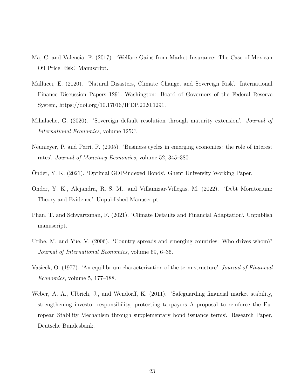- <span id="page-24-4"></span>Ma, C. and Valencia, F. (2017). 'Welfare Gains from Market Insurance: The Case of Mexican Oil Price Risk'. Manuscript.
- <span id="page-24-2"></span>Mallucci, E. (2020). 'Natural Disasters, Climate Change, and Sovereign Risk'. International Finance Discussion Papers 1291. Washington: Board of Governors of the Federal Reserve System, https://doi.org/10.17016/IFDP.2020.1291.
- <span id="page-24-6"></span>Mihalache, G. (2020). 'Sovereign default resolution through maturity extension'. *Journal of International Economics*, volume 125C.
- <span id="page-24-8"></span>Neumeyer, P. and Perri, F. (2005). 'Business cycles in emerging economies: the role of interest rates'. *Journal of Monetary Economics*, volume 52, 345–380.
- <span id="page-24-1"></span>Önder, Y. K. (2021). 'Optimal GDP-indexed Bonds'. Ghent University Working Paper.
- <span id="page-24-5"></span>Önder, Y. K., Alejandra, R. S. M., and Villamizar-Villegas, M. (2022). 'Debt Moratorium: Theory and Evidence'. Unpublished Manuscript.
- <span id="page-24-3"></span>Phan, T. and Schwartzman, F. (2021). 'Climate Defaults and Financial Adaptation'. Unpublish manuscript.
- <span id="page-24-9"></span>Uribe, M. and Yue, V. (2006). 'Country spreads and emerging countries: Who drives whom?' *Journal of International Economics*, volume 69, 6–36.
- <span id="page-24-7"></span>Vasicek, O. (1977). 'An equilibrium characterization of the term structure'. *Journal of Financial Economics*, volume 5, 177–188.
- <span id="page-24-0"></span>Weber, A. A., Ulbrich, J., and Wendorff, K. (2011). 'Safeguarding financial market stability, strengthening investor responsibility, protecting taxpayers A proposal to reinforce the European Stability Mechanism through supplementary bond issuance terms'. Research Paper, Deutsche Bundesbank.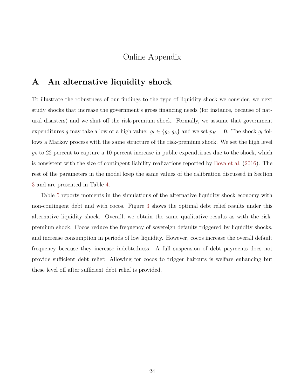# Online Appendix

# <span id="page-25-0"></span>**A An alternative liquidity shock**

To illustrate the robustness of our findings to the type of liquidity shock we consider, we next study shocks that increase the government's gross financing needs (for instance, because of natural disasters) and we shut off the risk-premium shock. Formally, we assume that government expenditures *g* may take a low or a high value:  $g_t \in \{g_l, g_h\}$  and we set  $p_H = 0$ . The shock  $g_t$  follows a Markov process with the same structure of the risk-premium shock. We set the high level *g<sup>h</sup>* to 22 percent to capture a 10 percent increase in public expendtirues due to the shock, which is consistent with the size of contingent liability realizations reported by [Bova et al.](#page-21-11) ([2016](#page-21-11)). The rest of the parameters in the model keep the same values of the calibration discussed in Section [3](#page-11-0) and are presented in Table [4.](#page-26-0)

Table [5](#page-27-0) reports moments in the simulations of the alternative liquidity shock economy with non-contingent debt and with cocos. Figure [3](#page-28-0) shows the optimal debt relief results under this alternative liquidity shock. Overall, we obtain the same qualitative results as with the riskpremium shock. Cocos reduce the frequency of sovereign defaults triggered by liquidity shocks, and increase consumption in periods of low liquidity. However, cocos increase the overall default frequency because they increase indebtedness. A full suspension of debt payments does not provide sufficient debt relief: Allowing for cocos to trigger haircuts is welfare enhancing but these level off after sufficient debt relief is provided.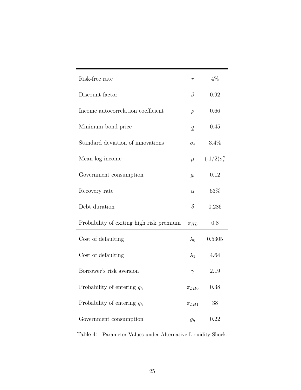| Risk-free rate                           | $\boldsymbol{r}$    | $4\%$                         |
|------------------------------------------|---------------------|-------------------------------|
| Discount factor                          | β                   | 0.92                          |
| Income autocorrelation coefficient       | $\rho$              | 0.66                          |
| Minimum bond price                       | q                   | 0.45                          |
| Standard deviation of innovations        | $\sigma_{\epsilon}$ | $3.4\%$                       |
| Mean log income                          | $\mu$               | $(-1/2)\sigma_{\epsilon}^{2}$ |
| Government consumption                   | $g_l$               | 0.12                          |
| Recovery rate                            | $\alpha$            | 63\%                          |
| Debt duration                            | $\delta$            | 0.286                         |
| Probability of exiting high risk premium | $\pi_{HL}$          | 0.8                           |
| Cost of defaulting                       | $\lambda_0$         | 0.5305                        |
| Cost of defaulting                       | $\lambda_1$         | 4.64                          |
| Borrower's risk aversion                 | $\gamma$            | 2.19                          |
| Probability of entering $g_h$            | $\pi_{LHO}$         | 0.38                          |
| Probability of entering $g_h$            | $\pi_{LH1}$         | 38                            |
| Government consumption                   | $g_h$               | 0.22                          |

<span id="page-26-0"></span>Table 4: Parameter Values under Alternative Liquidity Shock.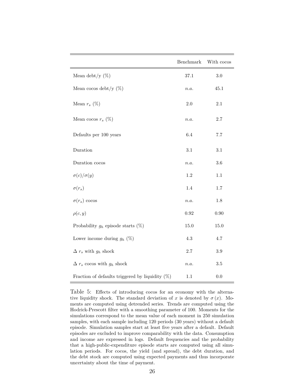|                                                    | Benchmark | With cocos |
|----------------------------------------------------|-----------|------------|
| Mean debt/y $(\%)$                                 | 37.1      | 3.0        |
| Mean cocos debt/y $(\%)$                           | n.a.      | 45.1       |
| Mean $r_s$ (%)                                     | $2.0\,$   | $2.1\,$    |
| Mean cocos $r_s$ (%)                               | n.a.      | $2.7\,$    |
| Defaults per 100 years                             | $6.4\,$   | 7.7        |
| Duration                                           | 3.1       | $3.1\,$    |
| Duration cocos                                     | n.a.      | 3.6        |
| $\sigma(c)/\sigma(y)$                              | 1.2       | 1.1        |
| $\sigma(r_s)$                                      | 1.4       | $1.7\,$    |
| $\sigma(r_s)$ cocos                                | n.a.      | $1.8\,$    |
| $\rho(c, y)$                                       | 0.92      | 0.90       |
| Probability $g_h$ episode starts $(\%)$            | 15.0      | 15.0       |
| Lower income during $g_h(\%)$                      | $4.3\,$   | $4.7\,$    |
| $\Delta r_s$ with $g_h$ shock                      | $2.7\,$   | $3.9\,$    |
| $\Delta$ $r_s$ cocos with $g_h$ shock              | n.a.      | 3.5        |
| Fraction of defaults triggered by liquidity $(\%)$ | 1.1       | 0.0        |

<span id="page-27-0"></span>Table 5: Effects of introducing cocos for an economy with the alternative liquidity shock. The standard deviation of *x* is denoted by  $\sigma(x)$ . Moments are computed using detrended series. Trends are computed using the Hodrick-Prescott filter with a smoothing parameter of 100. Moments for the simulations correspond to the mean value of each moment in 250 simulation samples, with each sample including 120 periods (30 years) without a default episode. Simulation samples start at least five years after a default. Default episodes are excluded to improve comparability with the data. Consumption and income are expressed in logs. Default frequencies and the probability that a high-public-expenditure episode starts are computed using all simulation periods. For cocos, the yield (and spread), the debt duration, and the debt stock are computed using expected payments and thus incorporate uncertainty about the time of payment.